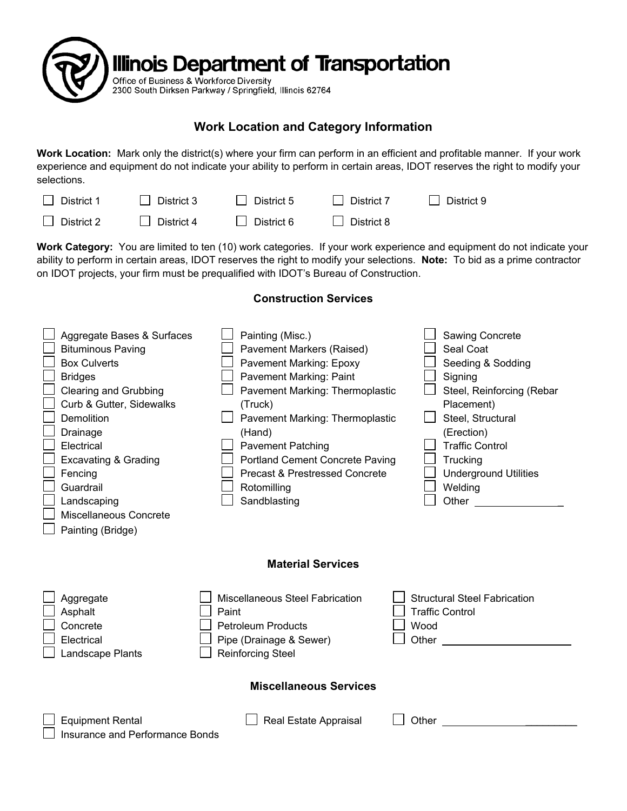

## **Work Location and Category Information**

**Work Location:** Mark only the district(s) where your firm can perform in an efficient and profitable manner. If your work experience and equipment do not indicate your ability to perform in certain areas, IDOT reserves the right to modify your selections.

| $\Box$ District 1 | $\Box$ District 3 | $\Box$ District 5 | $\Box$ District 7 | $\Box$ District 9 |
|-------------------|-------------------|-------------------|-------------------|-------------------|
| $\Box$ District 2 | $\Box$ District 4 | District 6        | District 8        |                   |

**Work Category:** You are limited to ten (10) work categories. If your work experience and equipment do not indicate your ability to perform in certain areas, IDOT reserves the right to modify your selections. **Note:** To bid as a prime contractor on IDOT projects, your firm must be prequalified with IDOT's Bureau of Construction.

|                               | Aggregate Bases & Surfaces<br><b>Bituminous Paving</b><br><b>Box Culverts</b><br><b>Bridges</b><br><b>Clearing and Grubbing</b><br>Curb & Gutter, Sidewalks<br><b>Demolition</b><br>Drainage<br>Electrical<br><b>Excavating &amp; Grading</b><br>Fencing<br>Guardrail<br>Landscaping<br>Miscellaneous Concrete<br>Painting (Bridge) | Painting (Misc.)<br>Pavement Markers (Raised)<br>Pavement Marking: Epoxy<br>Pavement Marking: Paint<br>Pavement Marking: Thermoplastic<br>(Truck)<br>Pavement Marking: Thermoplastic<br>(Hand)<br><b>Pavement Patching</b><br><b>Portland Cement Concrete Paving</b><br><b>Precast &amp; Prestressed Concrete</b><br>Rotomilling<br>Sandblasting |  | Sawing Concrete<br>Seal Coat<br>Seeding & Sodding<br>Signing<br>Steel, Reinforcing (Rebar<br>Placement)<br>Steel, Structural<br>(Erection)<br><b>Traffic Control</b><br>Trucking<br><b>Underground Utilities</b><br>Welding<br>Other and the control of the control of the control of the control of the control of the control of the control of the control of the control of the control of the control of the control of the control of the control of th |  |  |  |
|-------------------------------|-------------------------------------------------------------------------------------------------------------------------------------------------------------------------------------------------------------------------------------------------------------------------------------------------------------------------------------|--------------------------------------------------------------------------------------------------------------------------------------------------------------------------------------------------------------------------------------------------------------------------------------------------------------------------------------------------|--|---------------------------------------------------------------------------------------------------------------------------------------------------------------------------------------------------------------------------------------------------------------------------------------------------------------------------------------------------------------------------------------------------------------------------------------------------------------|--|--|--|
| <b>Material Services</b>      |                                                                                                                                                                                                                                                                                                                                     |                                                                                                                                                                                                                                                                                                                                                  |  |                                                                                                                                                                                                                                                                                                                                                                                                                                                               |  |  |  |
|                               | Aggregate<br>Asphalt<br>Concrete<br>Electrical<br>Landscape Plants                                                                                                                                                                                                                                                                  | Miscellaneous Steel Fabrication<br>Paint<br><b>Petroleum Products</b><br>Pipe (Drainage & Sewer)<br>Reinforcing Steel                                                                                                                                                                                                                            |  | <b>Structural Steel Fabrication</b><br><b>Traffic Control</b><br>Wood<br>Other                                                                                                                                                                                                                                                                                                                                                                                |  |  |  |
| <b>Miscellaneous Services</b> |                                                                                                                                                                                                                                                                                                                                     |                                                                                                                                                                                                                                                                                                                                                  |  |                                                                                                                                                                                                                                                                                                                                                                                                                                                               |  |  |  |
|                               | <b>Equipment Rental</b><br><b>Insurance and Performance Bonds</b>                                                                                                                                                                                                                                                                   | Real Estate Appraisal                                                                                                                                                                                                                                                                                                                            |  | Other                                                                                                                                                                                                                                                                                                                                                                                                                                                         |  |  |  |

## **Construction Services**